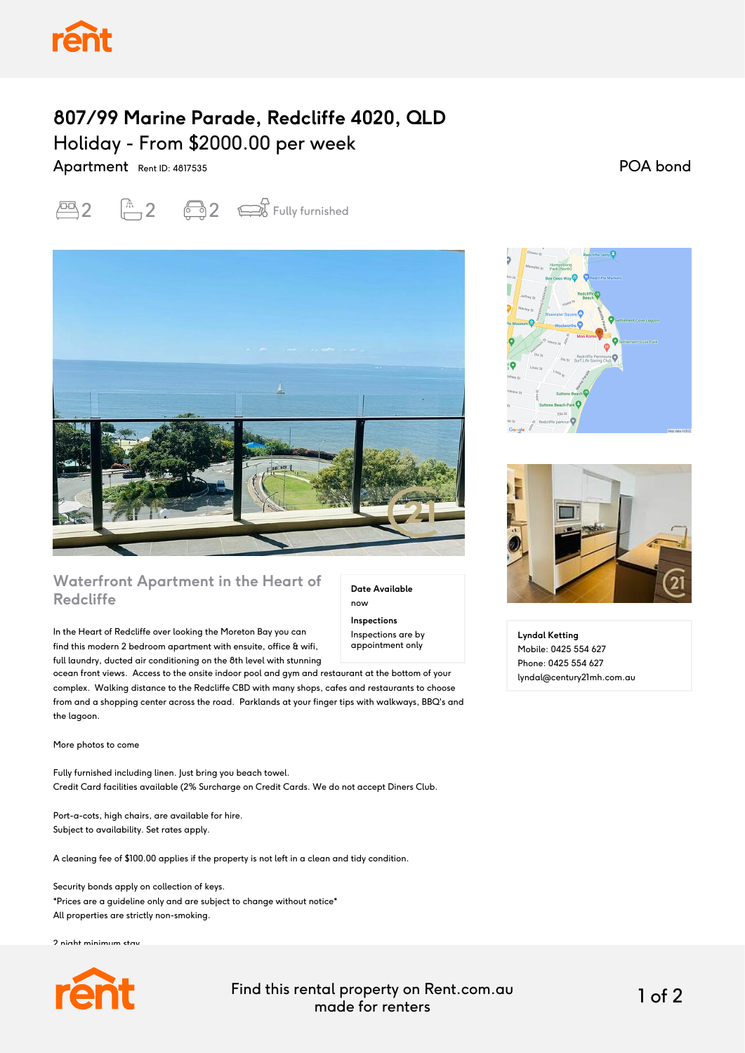## **807/99 Marine Parade, Redcliffe 4020, QLD** Holiday - From \$2000.00 per week

Apartment Rent ID: 4817535

 $\overline{2}$   $\overline{1}$  2  $\overline{3}$   $\overline{2}$   $\overline{3}$  Fully furnished



## **Waterfront Apartment in the Heart of Redcliffe**

In the Heart of Redcliffe over looking the Moreton Bay you can find this modern 2 bedroom apartment with ensuite, office & wifi, full laundry, ducted air conditioning on the 8th level with stunning

ocean front views. Access to the onsite indoor pool and gym and restaurant at the bottom of your complex. Walking distance to the Redcliffe CBD with many shops, cafes and restaurants to choose from and a shopping center across the road. Parklands at your finger tips with walkways, BBQ's and the lagoon.

More photos to come

Fully furnished including linen. Just bring you beach towel. Credit Card facilities available (2% Surcharge on Credit Cards. We do not accept Diners Club.

Port-a-cots, high chairs, are available for hire. Subject to availability. Set rates apply.

A cleaning fee of \$100.00 applies if the property is not left in a clean and tidy condition.

Security bonds apply on collection of keys. \*Prices are a guideline only and are subject to change without notice\* All properties are strictly non-smoking.

2 night minimum stay



Find this rental property on Rent.com.au made for renters 1 of 2

**Date Available**

now **Inspections** Inspections are by appointment only

POA bond





**Lyndal Ketting** Mobile: 0425 554 627 Phone: 0425 554 627 lyndal@century21mh.com.au